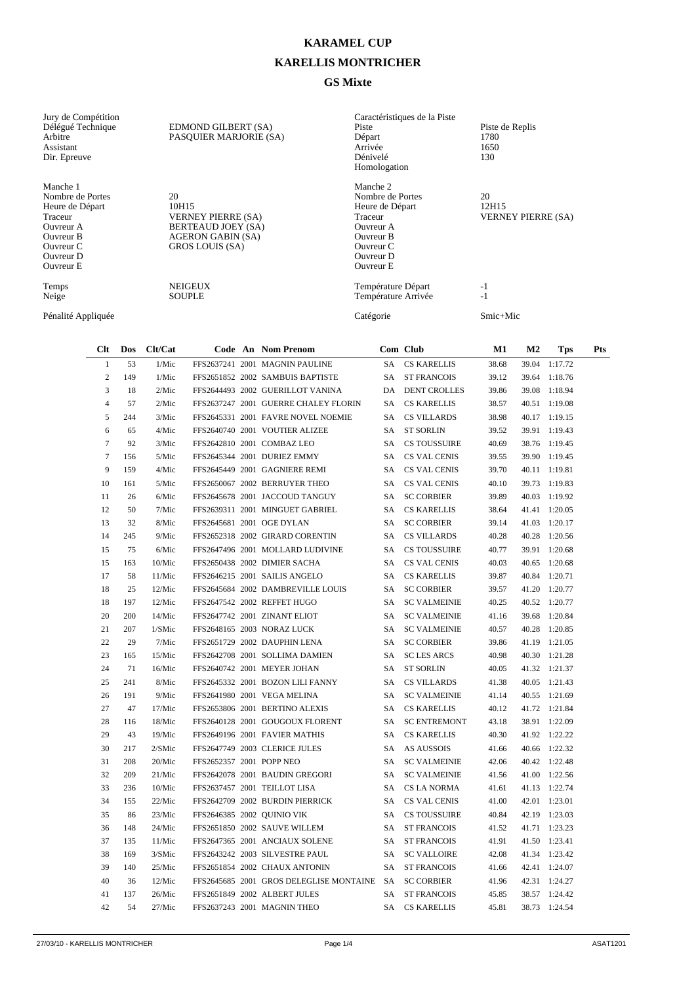## **KARAMEL CUP**

## **KARELLIS MONTRICHER**

## **GS Mixte**

| Jury de Compétition<br>Délégué Technique<br>Arbitre<br>Assistant<br>Dir. Epreuve                                            | EDMOND GILBERT (SA)<br>PASQUIER MARJORIE (SA)                                                                        | Caractéristiques de la Piste<br>Piste<br>Départ<br>Arrivée<br>Dénivelé<br>Homologation                                             | Piste de Replis<br>1780<br>1650<br>130   |
|-----------------------------------------------------------------------------------------------------------------------------|----------------------------------------------------------------------------------------------------------------------|------------------------------------------------------------------------------------------------------------------------------------|------------------------------------------|
| Manche 1<br>Nombre de Portes<br>Heure de Départ<br>Traceur<br>Ouvreur A<br>Ouvreur B<br>Ouvreur C<br>Ouvreur D<br>Ouvreur E | 20<br>10H15<br><b>VERNEY PIERRE (SA)</b><br>BERTEAUD JOEY (SA)<br><b>AGERON GABIN (SA)</b><br><b>GROS LOUIS (SA)</b> | Manche 2<br>Nombre de Portes<br>Heure de Départ<br>Traceur<br>Ouvreur A<br>Ouvreur B<br>Ouvreur C<br>Ouvreur D<br><b>Ouvreur E</b> | 20<br>12H15<br><b>VERNEY PIERRE (SA)</b> |
| Temps<br>Neige                                                                                                              | <b>NEIGEUX</b><br><b>SOUPLE</b>                                                                                      | Température Départ<br>Température Arrivée                                                                                          | $-1$<br>$-1$                             |
| Pénalité Appliquée                                                                                                          |                                                                                                                      | Catégorie                                                                                                                          | Smic+Mic                                 |

| $Cl$ t         | Dos | Clt/Cat |                          | Code An Nom Prenom                         |           | Com Club            | $\mathbf{M1}$ | M <sub>2</sub> | <b>Tps</b>    | Pts |
|----------------|-----|---------|--------------------------|--------------------------------------------|-----------|---------------------|---------------|----------------|---------------|-----|
| $\mathbf{1}$   | 53  | 1/Mic   |                          | FFS2637241 2001 MAGNIN PAULINE             | SA        | <b>CS KARELLIS</b>  | 38.68         | 39.04          | 1:17.72       |     |
| $\sqrt{2}$     | 149 | 1/Mic   |                          | FFS2651852 2002 SAMBUIS BAPTISTE           | SA        | <b>ST FRANCOIS</b>  | 39.12         |                | 39.64 1:18.76 |     |
| 3              | 18  | 2/Mic   |                          | FFS2644493 2002 GUERILLOT VANINA           |           | DA DENT CROLLES     | 39.86         |                | 39.08 1:18.94 |     |
| $\overline{4}$ | 57  | 2/Mic   |                          | FFS2637247 2001 GUERRE CHALEY FLORIN       | SA        | <b>CS KARELLIS</b>  | 38.57         |                | 40.51 1:19.08 |     |
| 5              | 244 | 3/Mic   |                          | FFS2645331 2001 FAVRE NOVEL NOEMIE         | SA        | <b>CS VILLARDS</b>  | 38.98         |                | 40.17 1:19.15 |     |
| 6              | 65  | 4/Mic   |                          | FFS2640740 2001 VOUTIER ALIZEE             | SA        | <b>ST SORLIN</b>    | 39.52         |                | 39.91 1:19.43 |     |
| $\tau$         | 92  | 3/Mic   |                          | FFS2642810 2001 COMBAZ LEO                 | SA        | <b>CS TOUSSUIRE</b> | 40.69         |                | 38.76 1:19.45 |     |
| $\overline{7}$ | 156 | 5/Mic   |                          | FFS2645344 2001 DURIEZ EMMY                | <b>SA</b> | CS VAL CENIS        | 39.55         |                | 39.90 1:19.45 |     |
| 9              | 159 | 4/Mic   |                          | FFS2645449 2001 GAGNIERE REMI              | SA        | CS VAL CENIS        | 39.70         |                | 40.11 1:19.81 |     |
| 10             | 161 | 5/Mic   |                          | FFS2650067 2002 BERRUYER THEO              | SA.       | <b>CS VAL CENIS</b> | 40.10         |                | 39.73 1:19.83 |     |
| 11             | 26  | 6/Mic   |                          | FFS2645678 2001 JACCOUD TANGUY             | SA        | <b>SC CORBIER</b>   | 39.89         |                | 40.03 1:19.92 |     |
| 12             | 50  | 7/Mic   |                          | FFS2639311 2001 MINGUET GABRIEL            | SA.       | <b>CS KARELLIS</b>  | 38.64         |                | 41.41 1:20.05 |     |
| 13             | 32  | 8/Mic   |                          | FFS2645681 2001 OGE DYLAN                  | SA        | <b>SC CORBIER</b>   | 39.14         |                | 41.03 1:20.17 |     |
| 14             | 245 | 9/Mic   |                          | FFS2652318 2002 GIRARD CORENTIN            | SA.       | <b>CS VILLARDS</b>  | 40.28         |                | 40.28 1:20.56 |     |
| 15             | 75  | 6/Mic   |                          | FFS2647496 2001 MOLLARD LUDIVINE           | SA        | <b>CS TOUSSUIRE</b> | 40.77         |                | 39.91 1:20.68 |     |
| 15             | 163 | 10/Mic  |                          | FFS2650438 2002 DIMIER SACHA               | SA.       | CS VAL CENIS        | 40.03         |                | 40.65 1:20.68 |     |
| 17             | 58  | 11/Mic  |                          | FFS2646215 2001 SAILIS ANGELO              | SA.       | <b>CS KARELLIS</b>  | 39.87         |                | 40.84 1:20.71 |     |
| 18             | 25  | 12/Mic  |                          | FFS2645684 2002 DAMBREVILLE LOUIS          | SA.       | <b>SC CORBIER</b>   | 39.57         |                | 41.20 1:20.77 |     |
| 18             | 197 | 12/Mic  |                          | FFS2647542 2002 REFFET HUGO                | <b>SA</b> | <b>SC VALMEINIE</b> | 40.25         |                | 40.52 1:20.77 |     |
| 20             | 200 | 14/Mic  |                          | FFS2647742 2001 ZINANT ELIOT               | SA        | <b>SC VALMEINIE</b> | 41.16         |                | 39.68 1:20.84 |     |
| 21             | 207 | 1/SMic  |                          | FFS2648165 2003 NORAZ LUCK                 | <b>SA</b> | <b>SC VALMEINIE</b> | 40.57         |                | 40.28 1:20.85 |     |
| 22             | 29  | 7/Mic   |                          | FFS2651729 2002 DAUPHIN LENA               | SA        | <b>SC CORBIER</b>   | 39.86         |                | 41.19 1:21.05 |     |
| 23             | 165 | 15/Mic  |                          | FFS2642708 2001 SOLLIMA DAMIEN             | <b>SA</b> | <b>SC LES ARCS</b>  | 40.98         |                | 40.30 1:21.28 |     |
| 24             | 71  | 16/Mic  |                          | FFS2640742 2001 MEYER JOHAN                | SA        | <b>ST SORLIN</b>    | 40.05         |                | 41.32 1:21.37 |     |
| 25             | 241 | 8/Mic   |                          | FFS2645332 2001 BOZON LILI FANNY           | SA        | <b>CS VILLARDS</b>  | 41.38         |                | 40.05 1:21.43 |     |
| 26             | 191 | 9/Mic   |                          | FFS2641980 2001 VEGA MELINA                | SA        | <b>SC VALMEINIE</b> | 41.14         |                | 40.55 1:21.69 |     |
| 27             | 47  | 17/Mic  |                          | FFS2653806 2001 BERTINO ALEXIS             | SA        | <b>CS KARELLIS</b>  | 40.12         |                | 41.72 1:21.84 |     |
| 28             | 116 | 18/Mic  |                          | FFS2640128 2001 GOUGOUX FLORENT            | SA        | <b>SC ENTREMONT</b> | 43.18         |                | 38.91 1:22.09 |     |
| 29             | 43  | 19/Mic  |                          | FFS2649196 2001 FAVIER MATHIS              | SA        | <b>CS KARELLIS</b>  | 40.30         |                | 41.92 1:22.22 |     |
| 30             | 217 | 2/SMic  |                          | FFS2647749 2003 CLERICE JULES              | SA.       | <b>AS AUSSOIS</b>   | 41.66         |                | 40.66 1:22.32 |     |
| 31             | 208 | 20/Mic  | FFS2652357 2001 POPP NEO |                                            | SA        | <b>SC VALMEINIE</b> | 42.06         |                | 40.42 1:22.48 |     |
| 32             | 209 | 21/Mic  |                          | FFS2642078 2001 BAUDIN GREGORI             | <b>SA</b> | <b>SC VALMEINIE</b> | 41.56         |                | 41.00 1:22.56 |     |
| 33             | 236 | 10/Mic  |                          | FFS2637457 2001 TEILLOT LISA               | SA        | CS LA NORMA         | 41.61         |                | 41.13 1:22.74 |     |
| 34             | 155 | 22/Mic  |                          | FFS2642709 2002 BURDIN PIERRICK            | <b>SA</b> | CS VAL CENIS        | 41.00         |                | 42.01 1:23.01 |     |
| 35             | 86  | 23/Mic  |                          | FFS2646385 2002 QUINIO VIK                 | SA        | CS TOUSSUIRE        | 40.84         |                | 42.19 1:23.03 |     |
| 36             | 148 | 24/Mic  |                          | FFS2651850 2002 SAUVE WILLEM               | SA.       | <b>ST FRANCOIS</b>  | 41.52         |                | 41.71 1:23.23 |     |
| 37             | 135 | 11/Mic  |                          | FFS2647365 2001 ANCIAUX SOLENE             | SA        | <b>ST FRANCOIS</b>  | 41.91         |                | 41.50 1:23.41 |     |
| 38             | 169 | 3/SMic  |                          | FFS2643242 2003 SILVESTRE PAUL             | SA.       | <b>SC VALLOIRE</b>  | 42.08         |                | 41.34 1:23.42 |     |
| 39             | 140 | 25/Mic  |                          | FFS2651854 2002 CHAUX ANTONIN              | SA        | <b>ST FRANCOIS</b>  | 41.66         |                | 42.41 1:24.07 |     |
| 40             | 36  | 12/Mic  |                          | FFS2645685 2001 GROS DELEGLISE MONTAINE SA |           | <b>SC CORBIER</b>   | 41.96         |                | 42.31 1:24.27 |     |
| 41             | 137 | 26/Mic  |                          | FFS2651849 2002 ALBERT JULES               | <b>SA</b> | <b>ST FRANCOIS</b>  | 45.85         |                | 38.57 1:24.42 |     |
| 42             | 54  | 27/Mic  |                          | FFS2637243 2001 MAGNIN THEO                | <b>SA</b> | <b>CS KARELLIS</b>  | 45.81         |                | 38.73 1:24.54 |     |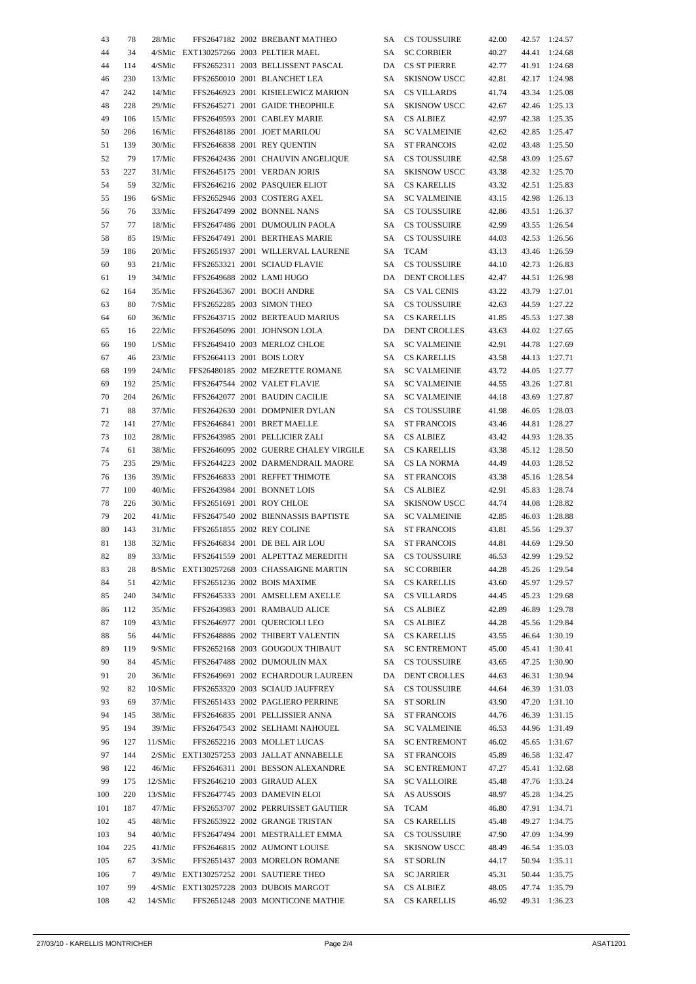| 43  | 78  | 28/Mic    |                           | FFS2647182 2002 BREBANT MATHEO             | SA | CS TOUSSUIRE        | 42.00 | 42.57 | 1:24.57       |
|-----|-----|-----------|---------------------------|--------------------------------------------|----|---------------------|-------|-------|---------------|
| 44  | 34  |           |                           | 4/SMic EXT130257266 2003 PELTIER MAEL      | SA | <b>SC CORBIER</b>   | 40.27 | 44.41 | 1:24.68       |
| 44  | 114 | 4/SMic    |                           | FFS2652311 2003 BELLISSENT PASCAL          |    | DA CS ST PIERRE     | 42.77 | 41.91 | 1:24.68       |
| 46  | 230 | 13/Mic    |                           | FFS2650010 2001 BLANCHET LEA               | SA | <b>SKISNOW USCC</b> | 42.81 | 42.17 | 1:24.98       |
| 47  | 242 | 14/Mic    |                           | FFS2646923 2001 KISIELEWICZ MARION         | SA | CS VILLARDS         | 41.74 | 43.34 | 1:25.08       |
| 48  | 228 | 29/Mic    |                           | FFS2645271 2001 GAIDE THEOPHILE            | SA | <b>SKISNOW USCC</b> | 42.67 | 42.46 | 1:25.13       |
| 49  | 106 | 15/Mic    |                           | FFS2649593 2001 CABLEY MARIE               | SA | <b>CS ALBIEZ</b>    | 42.97 | 42.38 | 1:25.35       |
| 50  | 206 | 16/Mic    |                           | FFS2648186 2001 JOET MARILOU               | SA | <b>SC VALMEINIE</b> | 42.62 |       | 42.85 1:25.47 |
| 51  | 139 | 30/Mic    |                           | FFS2646838 2001 REY QUENTIN                | SA | <b>ST FRANCOIS</b>  | 42.02 | 43.48 | 1:25.50       |
| 52  | 79  | 17/Mic    |                           | FFS2642436 2001 CHAUVIN ANGELIQUE          | SA | <b>CS TOUSSUIRE</b> | 42.58 |       | 43.09 1:25.67 |
|     | 227 |           |                           | FFS2645175 2001 VERDAN JORIS               |    | <b>SKISNOW USCC</b> |       |       | 42.32 1:25.70 |
| 53  |     | 31/Mic    |                           |                                            | SA |                     | 43.38 |       |               |
| 54  | 59  | 32/Mic    |                           | FFS2646216 2002 PASQUIER ELIOT             | SA | <b>CS KARELLIS</b>  | 43.32 | 42.51 | 1:25.83       |
| 55  | 196 | $6/S$ Mic |                           | FFS2652946 2003 COSTERG AXEL               | SA | <b>SC VALMEINIE</b> | 43.15 | 42.98 | 1:26.13       |
| 56  | 76  | 33/Mic    |                           | FFS2647499 2002 BONNEL NANS                | SA | <b>CS TOUSSUIRE</b> | 42.86 | 43.51 | 1:26.37       |
| 57  | 77  | 18/Mic    |                           | FFS2647486 2001 DUMOULIN PAOLA             | SA | <b>CS TOUSSUIRE</b> | 42.99 | 43.55 | 1:26.54       |
| 58  | 85  | 19/Mic    |                           | FFS2647491 2001 BERTHEAS MARIE             | SA | <b>CS TOUSSUIRE</b> | 44.03 |       | 42.53 1:26.56 |
| 59  | 186 | 20/Mic    |                           | FFS2651937 2001 WILLERVAL LAURENE          | SA | <b>TCAM</b>         | 43.13 |       | 43.46 1:26.59 |
| 60  | 93  | 21/Mic    |                           | FFS2653321 2001 SCIAUD FLAVIE              | SA | <b>CS TOUSSUIRE</b> | 44.10 | 42.73 | 1:26.83       |
| 61  | 19  | 34/Mic    |                           | FFS2649688 2002 LAMI HUGO                  | DA | <b>DENT CROLLES</b> | 42.47 | 44.51 | 1:26.98       |
| 62  | 164 | 35/Mic    |                           | FFS2645367 2001 BOCH ANDRE                 | SA | CS VAL CENIS        | 43.22 | 43.79 | 1:27.01       |
| 63  | 80  | 7/SMic    |                           | FFS2652285 2003 SIMON THEO                 | SA | CS TOUSSUIRE        | 42.63 | 44.59 | 1:27.22       |
| 64  | 60  | 36/Mic    |                           | FFS2643715 2002 BERTEAUD MARIUS            | SA | <b>CS KARELLIS</b>  | 41.85 | 45.53 | 1:27.38       |
| 65  | 16  | 22/Mic    |                           | FFS2645096 2001 JOHNSON LOLA               | DA | <b>DENT CROLLES</b> | 43.63 | 44.02 | 1:27.65       |
| 66  | 190 | $1/S$ Mic |                           | FFS2649410 2003 MERLOZ CHLOE               | SA | <b>SC VALMEINIE</b> | 42.91 | 44.78 | 1:27.69       |
| 67  | 46  | 23/Mic    | FFS2664113 2001 BOIS LORY |                                            | SA | CS KARELLIS         | 43.58 |       | 44.13 1:27.71 |
| 68  | 199 | 24/Mic    |                           | FFS26480185 2002 MEZRETTE ROMANE           | SA | <b>SC VALMEINIE</b> | 43.72 |       | 44.05 1:27.77 |
| 69  | 192 | 25/Mic    |                           | FFS2647544 2002 VALET FLAVIE               | SA | <b>SC VALMEINIE</b> | 44.55 |       | 43.26 1:27.81 |
| 70  | 204 | 26/Mic    |                           | FFS2642077 2001 BAUDIN CACILIE             | SA | <b>SC VALMEINIE</b> | 44.18 |       | 43.69 1:27.87 |
| 71  |     |           |                           |                                            |    |                     |       |       |               |
|     | 88  | 37/Mic    |                           | FFS2642630 2001 DOMPNIER DYLAN             | SA | <b>CS TOUSSUIRE</b> | 41.98 |       | 46.05 1:28.03 |
| 72  | 141 | 27/Mic    |                           | FFS2646841 2001 BRET MAELLE                | SA | <b>ST FRANCOIS</b>  | 43.46 | 44.81 | 1:28.27       |
| 73  | 102 | 28/Mic    |                           | FFS2643985 2001 PELLICIER ZALI             | SA | <b>CS ALBIEZ</b>    | 43.42 | 44.93 | 1:28.35       |
| 74  | 61  | 38/Mic    |                           | FFS2646095 2002 GUERRE CHALEY VIRGILE      | SA | CS KARELLIS         | 43.38 |       | 45.12 1:28.50 |
| 75  | 235 | 29/Mic    |                           | FFS2644223 2002 DARMENDRAIL MAORE          | SA | CS LA NORMA         | 44.49 | 44.03 | 1:28.52       |
| 76  | 136 | 39/Mic    |                           | FFS2646833 2001 REFFET THIMOTE             | SA | <b>ST FRANCOIS</b>  | 43.38 |       | 45.16 1:28.54 |
| 77  | 100 | 40/Mic    |                           | FFS2643984 2001 BONNET LOIS                | SA | CS ALBIEZ           | 42.91 |       | 45.83 1:28.74 |
| 78  | 226 | 30/Mic    |                           | FFS2651691 2001 ROY CHLOE                  | SA | <b>SKISNOW USCC</b> | 44.74 | 44.08 | 1:28.82       |
| 79  | 202 | 41/Mic    |                           | FFS2647540 2002 BIENNASSIS BAPTISTE        | SA | <b>SC VALMEINIE</b> | 42.85 | 46.03 | 1:28.88       |
| 80  | 143 | 31/Mic    |                           | FFS2651855 2002 REY COLINE                 | SA | <b>ST FRANCOIS</b>  | 43.81 | 45.56 | 1:29.37       |
| 81  | 138 | 32/Mic    |                           | FFS2646834 2001 DE BEL AIR LOU             | SA | <b>ST FRANCOIS</b>  | 44.81 | 44.69 | 1:29.50       |
| 82  | 89  | 33/Mic    |                           | FFS2641559 2001 ALPETTAZ MEREDITH          | SA | <b>CS TOUSSUIRE</b> | 46.53 |       | 42.99 1:29.52 |
| 83  | 28  |           |                           | 8/SMic EXT130257268 2003 CHASSAIGNE MARTIN |    | SA SC CORBIER       | 44.28 |       | 45.26 1:29.54 |
| 84  | 51  | 42/Mic    |                           | FFS2651236 2002 BOIS MAXIME                |    | SA CS KARELLIS      | 43.60 |       | 45.97 1:29.57 |
| 85  | 240 | 34/Mic    |                           | FFS2645333 2001 AMSELLEM AXELLE            |    | SA CS VILLARDS      | 44.45 |       | 45.23 1:29.68 |
| 86  | 112 | 35/Mic    |                           | FFS2643983 2001 RAMBAUD ALICE              |    | SA CS ALBIEZ        | 42.89 |       | 46.89 1:29.78 |
| 87  | 109 | 43/Mic    |                           | FFS2646977 2001 QUERCIOLI LEO              |    | SA CS ALBIEZ        | 44.28 |       | 45.56 1:29.84 |
| 88  | 56  | 44/Mic    |                           | FFS2648886 2002 THIBERT VALENTIN           |    | SA CS KARELLIS      | 43.55 |       | 46.64 1:30.19 |
| 89  | 119 | 9/SMic    |                           | FFS2652168 2003 GOUGOUX THIBAUT            |    | SA SC ENTREMONT     | 45.00 |       | 45.41 1:30.41 |
| 90  | 84  | 45/Mic    |                           | FFS2647488 2002 DUMOULIN MAX               |    | SA CS TOUSSUIRE     | 43.65 |       | 47.25 1:30.90 |
| 91  | 20  | 36/Mic    |                           | FFS2649691 2002 ECHARDOUR LAUREEN          |    | DA DENT CROLLES     | 44.63 | 46.31 | 1:30.94       |
| 92  | 82  |           |                           | FFS2653320 2003 SCIAUD JAUFFREY            |    | SA CS TOUSSUIRE     |       |       |               |
|     |     | 10/SMic   |                           |                                            |    |                     | 44.64 |       | 46.39 1:31.03 |
| 93  | 69  | 37/Mic    |                           | FFS2651433 2002 PAGLIERO PERRINE           |    | SA ST SORLIN        | 43.90 |       | 47.20 1:31.10 |
| 94  | 145 | 38/Mic    |                           | FFS2646835 2001 PELLISSIER ANNA            |    | SA ST FRANCOIS      | 44.76 |       | 46.39 1:31.15 |
| 95  | 194 | 39/Mic    |                           | FFS2647543 2002 SELHAMI NAHOUEL            |    | SA SC VALMEINIE     | 46.53 |       | 44.96 1:31.49 |
| 96  | 127 | 11/SMic   |                           | FFS2652216 2003 MOLLET LUCAS               |    | SA SC ENTREMONT     | 46.02 |       | 45.65 1:31.67 |
| 97  | 144 |           |                           | 2/SMic EXT130257253 2003 JALLAT ANNABELLE  |    | SA ST FRANCOIS      | 45.89 |       | 46.58 1:32.47 |
| 98  | 122 | 46/Mic    |                           | FFS2646311 2001 BESSON ALEXANDRE           |    | SA SC ENTREMONT     | 47.27 |       | 45.41 1:32.68 |
| 99  | 175 | 12/SMic   |                           | FFS2646210 2003 GIRAUD ALEX                | SA | <b>SC VALLOIRE</b>  | 45.48 |       | 47.76 1:33.24 |
| 100 | 220 | 13/SMic   |                           | FFS2647745 2003 DAMEVIN ELOI               |    | SA AS AUSSOIS       | 48.97 |       | 45.28 1:34.25 |
| 101 | 187 | 47/Mic    |                           | FFS2653707 2002 PERRUISSET GAUTIER         |    | SA TCAM             | 46.80 |       | 47.91 1:34.71 |
| 102 | 45  | 48/Mic    |                           | FFS2653922 2002 GRANGE TRISTAN             |    | SA CS KARELLIS      | 45.48 |       | 49.27 1:34.75 |
| 103 | 94  | 40/Mic    |                           | FFS2647494 2001 MESTRALLET EMMA            |    | SA CS TOUSSUIRE     | 47.90 |       | 47.09 1:34.99 |
| 104 | 225 | 41/Mic    |                           | FFS2646815 2002 AUMONT LOUISE              |    | SA SKISNOW USCC     | 48.49 |       | 46.54 1:35.03 |
| 105 | 67  | $3/S$ Mic |                           | FFS2651437 2003 MORELON ROMANE             |    | SA ST SORLIN        | 44.17 |       | 50.94 1:35.11 |
| 106 | 7   |           |                           | 49/Mic EXT130257252 2001 SAUTIERE THEO     | SA | <b>SC JARRIER</b>   | 45.31 |       | 50.44 1:35.75 |
| 107 | 99  |           |                           | 4/SMic EXT130257228 2003 DUBOIS MARGOT     |    | SA CS ALBIEZ        | 48.05 |       | 47.74 1:35.79 |
| 108 | 42  | 14/SMic   |                           | FFS2651248 2003 MONTICONE MATHIE           |    | SA CS KARELLIS      | 46.92 |       | 49.31 1:36.23 |
|     |     |           |                           |                                            |    |                     |       |       |               |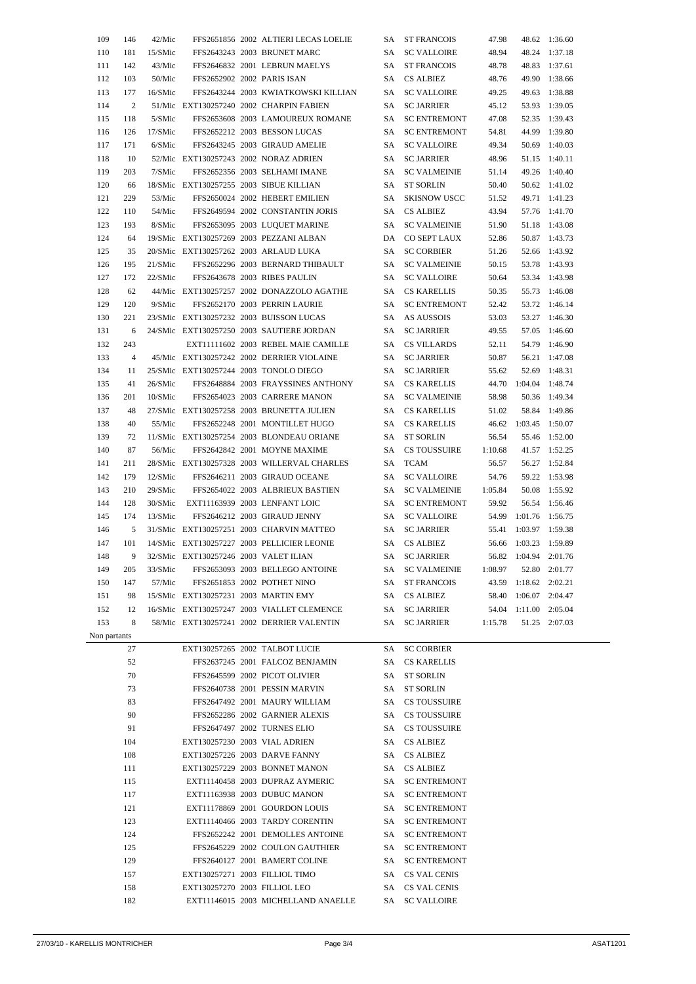| 109          | 146            | 42/Mic    |                                         | FFS2651856 2002 ALTIERI LECAS LOELIE        |      | SA ST FRANCOIS      | 47.98   |                       | 48.62 1:36.60 |
|--------------|----------------|-----------|-----------------------------------------|---------------------------------------------|------|---------------------|---------|-----------------------|---------------|
| 110          | 181            | 15/SMic   |                                         | FFS2643243 2003 BRUNET MARC                 | SA.  | <b>SC VALLOIRE</b>  | 48.94   | 48.24                 | 1:37.18       |
| 111          | 142            | 43/Mic    |                                         | FFS2646832 2001 LEBRUN MAELYS               | SA.  | <b>ST FRANCOIS</b>  | 48.78   |                       | 48.83 1:37.61 |
| 112          | 103            | 50/Mic    |                                         | FFS2652902 2002 PARIS ISAN                  |      | SA CS ALBIEZ        | 48.76   | 49.90                 | 1:38.66       |
| 113          | 177            | 16/SMic   |                                         | FFS2643244 2003 KWIATKOWSKI KILLIAN         | SA   | <b>SC VALLOIRE</b>  | 49.25   |                       | 49.63 1:38.88 |
| 114          | $\overline{2}$ |           |                                         | 51/Mic EXT130257240 2002 CHARPIN FABIEN     | SA   | <b>SC JARRIER</b>   | 45.12   |                       | 53.93 1:39.05 |
| 115          | 118            | 5/SMic    |                                         | FFS2653608 2003 LAMOUREUX ROMANE            | SA   | <b>SC ENTREMONT</b> | 47.08   | 52.35                 | 1:39.43       |
| 116          | 126            | 17/SMic   |                                         | FFS2652212 2003 BESSON LUCAS                | SA   | <b>SC ENTREMONT</b> | 54.81   | 44.99                 | 1:39.80       |
| 117          | 171            | 6/SMic    |                                         | FFS2643245 2003 GIRAUD AMELIE               | SA   | <b>SC VALLOIRE</b>  | 49.34   | 50.69                 | 1:40.03       |
| 118          | 10             |           |                                         | 52/Mic EXT130257243 2002 NORAZ ADRIEN       | SA   | <b>SC JARRIER</b>   | 48.96   |                       | 51.15 1:40.11 |
| 119          | 203            | $7/S$ Mic |                                         | FFS2652356 2003 SELHAMI IMANE               | SA   | <b>SC VALMEINIE</b> | 51.14   | 49.26                 | 1:40.40       |
| 120          | 66             |           |                                         | 18/SMic EXT130257255 2003 SIBUE KILLIAN     | SA   | <b>ST SORLIN</b>    | 50.40   |                       | 50.62 1:41.02 |
| 121          | 229            | 53/Mic    |                                         | FFS2650024 2002 HEBERT EMILIEN              | SA   | <b>SKISNOW USCC</b> | 51.52   |                       | 49.71 1:41.23 |
| 122          | 110            | 54/Mic    |                                         | FFS2649594 2002 CONSTANTIN JORIS            | SA   | <b>CS ALBIEZ</b>    | 43.94   |                       | 57.76 1:41.70 |
| 123          | 193            | 8/SMic    |                                         | FFS2653095 2003 LUQUET MARINE               | SA   | <b>SC VALMEINIE</b> | 51.90   |                       | 51.18 1:43.08 |
| 124          | 64             |           |                                         | 19/SMic EXT130257269 2003 PEZZANI ALBAN     | DA   | CO SEPT LAUX        | 52.86   |                       | 50.87 1:43.73 |
| 125          | 35             |           |                                         | 20/SMic EXT130257262 2003 ARLAUD LUKA       | SA   | <b>SC CORBIER</b>   | 51.26   |                       | 52.66 1:43.92 |
| 126          | 195            | 21/SMic   |                                         | FFS2652296 2003 BERNARD THIBAULT            | SA   | <b>SC VALMEINIE</b> | 50.15   |                       | 53.78 1:43.93 |
|              |                | 22/SMic   |                                         |                                             |      |                     | 50.64   |                       |               |
| 127          | 172            |           |                                         | FFS2643678 2003 RIBES PAULIN                | SA   | <b>SC VALLOIRE</b>  |         |                       | 53.34 1:43.98 |
| 128          | 62             |           |                                         | 44/Mic EXT130257257 2002 DONAZZOLO AGATHE   | SA   | <b>CS KARELLIS</b>  | 50.35   | 55.73                 | 1:46.08       |
| 129          | 120            | 9/SMic    |                                         | FFS2652170 2003 PERRIN LAURIE               | SA   | <b>SC ENTREMONT</b> | 52.42   |                       | 53.72 1:46.14 |
| 130          | 221            |           |                                         | 23/SMic EXT130257232 2003 BUISSON LUCAS     | SA   | AS AUSSOIS          | 53.03   |                       | 53.27 1:46.30 |
| 131          | 6              |           |                                         | 24/SMic EXT130257250 2003 SAUTIERE JORDAN   | SA   | <b>SC JARRIER</b>   | 49.55   | 57.05                 | 1:46.60       |
| 132          | 243            |           |                                         | EXT11111602 2003 REBEL MAIE CAMILLE         | SA   | <b>CS VILLARDS</b>  | 52.11   | 54.79                 | 1:46.90       |
| 133          | $\overline{4}$ |           |                                         | 45/Mic EXT130257242 2002 DERRIER VIOLAINE   | SA   | <b>SC JARRIER</b>   | 50.87   | 56.21                 | 1:47.08       |
| 134          | 11             |           |                                         | 25/SMic EXT130257244 2003 TONOLO DIEGO      | SA   | <b>SC JARRIER</b>   | 55.62   | 52.69                 | 1:48.31       |
| 135          | 41             | 26/SMic   |                                         | FFS2648884 2003 FRAYSSINES ANTHONY          | SA   | <b>CS KARELLIS</b>  |         | 44.70 1:04.04 1:48.74 |               |
| 136          | 201            | 10/SMic   |                                         | FFS2654023 2003 CARRERE MANON               | SA   | <b>SC VALMEINIE</b> | 58.98   |                       | 50.36 1:49.34 |
| 137          | 48             |           |                                         | 27/SMic EXT130257258 2003 BRUNETTA JULIEN   | SA   | <b>CS KARELLIS</b>  | 51.02   | 58.84                 | 1:49.86       |
| 138          | 40             | 55/Mic    |                                         | FFS2652248 2001 MONTILLET HUGO              | SA   | <b>CS KARELLIS</b>  |         | 46.62 1:03.45         | 1:50.07       |
| 139          | 72             |           |                                         | 11/SMic EXT130257254 2003 BLONDEAU ORIANE   | SA   | <b>ST SORLIN</b>    | 56.54   |                       | 55.46 1:52.00 |
| 140          | 87             | 56/Mic    |                                         | FFS2642842 2001 MOYNE MAXIME                |      | SA CS TOUSSUIRE     | 1:10.68 |                       | 41.57 1:52.25 |
| 141          | 211            |           |                                         | 28/SMic EXT130257328 2003 WILLERVAL CHARLES | SA   | <b>TCAM</b>         | 56.57   |                       | 56.27 1:52.84 |
| 142          | 179            | 12/SMic   |                                         | FFS2646211 2003 GIRAUD OCEANE               | SA   | <b>SC VALLOIRE</b>  | 54.76   |                       | 59.22 1:53.98 |
| 143          | 210            | 29/SMic   |                                         | FFS2654022 2003 ALBRIEUX BASTIEN            | SA   | <b>SC VALMEINIE</b> | 1:05.84 |                       | 50.08 1:55.92 |
| 144          | 128            | 30/SMic   |                                         | EXT11163939 2003 LENFANT LOIC               | SA   | <b>SC ENTREMONT</b> | 59.92   |                       | 56.54 1:56.46 |
| 145          | 174            | 13/SMic   |                                         | FFS2646212 2003 GIRAUD JENNY                | SA - | <b>SC VALLOIRE</b>  |         | 54.99 1:01.76 1:56.75 |               |
| 146          | 5              |           |                                         | 31/SMic EXT130257251 2003 CHARVIN MATTEO    | SA   | <b>SC JARRIER</b>   | 55.41   | 1:03.97 1:59.38       |               |
| 147          | 101            |           |                                         | 14/SMic EXT130257227 2003 PELLICIER LEONIE  |      | SA CS ALBIEZ        |         | 56.66 1:03.23 1:59.89 |               |
| 148          |                |           | 9 32/SMic EXT130257246 2003 VALET ILIAN |                                             |      | SA SC JARRIER       |         | 56.82 1:04.94 2:01.76 |               |
| 149          | 205            | 33/SMic   |                                         | FFS2653093 2003 BELLEGO ANTOINE             |      | SA SC VALMEINIE     | 1:08.97 |                       | 52.80 2:01.77 |
| 150          | 147            | 57/Mic    |                                         | FFS2651853 2002 POTHET NINO                 |      | SA ST FRANCOIS      |         | 43.59 1:18.62 2:02.21 |               |
| 151          | 98             |           |                                         | 15/SMic EXT130257231 2003 MARTIN EMY        |      | SA CS ALBIEZ        | 58.40   | $1:06.07$ 2:04.47     |               |
| 152          | 12             |           |                                         | 16/SMic EXT130257247 2003 VIALLET CLEMENCE  |      | SA SC JARRIER       |         | 54.04 1:11.00 2:05.04 |               |
| 153          | 8              |           |                                         | 58/Mic EXT130257241 2002 DERRIER VALENTIN   |      | SA SC JARRIER       | 1:15.78 |                       | 51.25 2:07.03 |
| Non partants |                |           |                                         |                                             |      |                     |         |                       |               |
|              | 27             |           |                                         | EXT130257265 2002 TALBOT LUCIE              |      | SA SC CORBIER       |         |                       |               |
|              | 52             |           |                                         | FFS2637245 2001 FALCOZ BENJAMIN             |      | SA CS KARELLIS      |         |                       |               |
|              | 70             |           |                                         | FFS2645599 2002 PICOT OLIVIER               |      | SA ST SORLIN        |         |                       |               |
|              | 73             |           |                                         | FFS2640738 2001 PESSIN MARVIN               |      | SA ST SORLIN        |         |                       |               |
|              | 83             |           |                                         | FFS2647492 2001 MAURY WILLIAM               |      | SA CS TOUSSUIRE     |         |                       |               |
|              | 90             |           |                                         | FFS2652286 2002 GARNIER ALEXIS              |      | SA CS TOUSSUIRE     |         |                       |               |
|              |                |           |                                         |                                             |      |                     |         |                       |               |
|              | 91             |           |                                         | FFS2647497 2002 TURNES ELIO                 |      | SA CS TOUSSUIRE     |         |                       |               |
|              | 104            |           |                                         | EXT130257230 2003 VIAL ADRIEN               |      | SA CS ALBIEZ        |         |                       |               |
|              | 108            |           |                                         | EXT130257226 2003 DARVE FANNY               |      | SA CS ALBIEZ        |         |                       |               |
|              | 111            |           |                                         | EXT130257229 2003 BONNET MANON              |      | SA CS ALBIEZ        |         |                       |               |
|              | 115            |           |                                         | EXT11140458 2003 DUPRAZ AYMERIC             |      | SA SC ENTREMONT     |         |                       |               |
|              | 117            |           |                                         | EXT11163938 2003 DUBUC MANON                |      | SA SC ENTREMONT     |         |                       |               |
|              | 121            |           |                                         | EXT11178869 2001 GOURDON LOUIS              |      | SA SC ENTREMONT     |         |                       |               |
|              | 123            |           |                                         | EXT11140466 2003 TARDY CORENTIN             |      | SA SC ENTREMONT     |         |                       |               |
|              | 124            |           |                                         | FFS2652242 2001 DEMOLLES ANTOINE            |      | SA SC ENTREMONT     |         |                       |               |
|              | 125            |           |                                         | FFS2645229 2002 COULON GAUTHIER             | SA - | <b>SC ENTREMONT</b> |         |                       |               |
|              | 129            |           |                                         | FFS2640127 2001 BAMERT COLINE               |      | SA SC ENTREMONT     |         |                       |               |
|              | 157            |           |                                         | EXT130257271 2003 FILLIOL TIMO              |      | SA CS VAL CENIS     |         |                       |               |
|              | 158            |           | EXT130257270 2003 FILLIOL LEO           |                                             |      | SA CS VAL CENIS     |         |                       |               |
|              | 182            |           |                                         | EXT11146015 2003 MICHELLAND ANAELLE         |      | SA SC VALLOIRE      |         |                       |               |